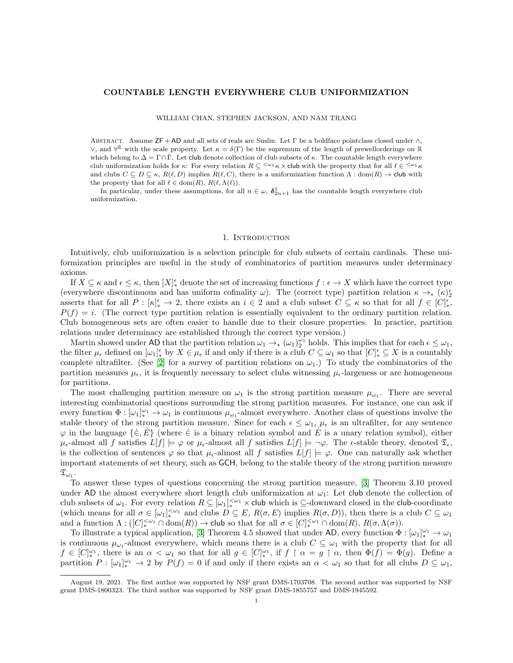## COUNTABLE LENGTH EVERYWHERE CLUB UNIFORMIZATION

### WILLIAM CHAN, STEPHEN JACKSON, AND NAM TRANG

ABSTRACT. Assume ZF + AD and all sets of reals are Suslin. Let  $\Gamma$  be a boldface pointclass closed under  $\wedge$ ,  $\vee$ , and  $\forall$ <sup>R</sup> with the scale property. Let  $\kappa = \delta(\Gamma)$  be the supremum of the length of prewellorderings on R which belong to  $\Delta = \Gamma \cap \check{\Gamma}$ . Let club denote collection of club subsets of  $\kappa$ . The countable length everywhere club uniformization holds for  $\kappa$ : For every relation  $R \subset \langle \omega_1 \kappa \times \text{club}$  with the property that for all  $\ell \in \langle \omega_1 \kappa \rangle$ and clubs  $C \subseteq D \subseteq \kappa$ ,  $R(\ell, D)$  implies  $R(\ell, C)$ , there is a uniformization function  $\Lambda : \text{dom}(R) \to \text{club with}$ the property that for all  $\ell \in \text{dom}(R), R(\ell, \Lambda(\ell)).$ 

In particular, under these assumptions, for all  $n \in \omega$ ,  $\delta_{2n+1}^1$  has the countable length everywhere club uniformization.

### 1. Introduction

Intuitively, club uniformization is a selection principle for club subsets of certain cardinals. These uniformization principles are useful in the study of combinatorics of partition measures under determinacy axioms.

If  $X \subseteq \kappa$  and  $\epsilon \leq \kappa$ , then  $[X]_{*}^{\epsilon}$  denote the set of increasing functions  $f : \epsilon \to X$  which have the correct type (everywhere discontinuous and has uniform cofinality  $\omega$ ). The (correct type) partition relation  $\kappa \to_{*} (\kappa)_{2}^{\epsilon}$ asserts that for all  $P: [\kappa]_*^{\epsilon} \to 2$ , there exists an  $i \in 2$  and a club subset  $C \subseteq \kappa$  so that for all  $f \in [C]_*^{\epsilon}$ ,  $P(f) = i$ . (The correct type partition relation is essentially equivalent to the ordinary partition relation. Club homogeneous sets are often easier to handle due to their closure properties. In practice, partition relations under determinacy are established through the correct type version.)

Martin showed under AD that the partition relation  $\omega_1 \to_{\ast} (\omega_1)_2^{\omega_1}$  holds. This implies that for each  $\epsilon \leq \omega_1$ , the filter  $\mu_{\epsilon}$  defined on  $[\omega_1]_{*}^{\epsilon}$  by  $X \in \mu_{\epsilon}$  if and only if there is a club  $C \subseteq \omega_1$  so that  $[C]_{*}^{\epsilon} \subseteq X$  is a countably complete ultrafilter. (See [\[2\]](#page-11-0) for a survey of partition relations on  $\omega_1$ .) To study the combinatorics of the partition measures  $\mu_{\epsilon}$ , it is frequently necessary to select clubs witnessing  $\mu_{\epsilon}$ -largeness or are homogeneous for partitions.

The most challenging partition measure on  $\omega_1$  is the strong partition measure  $\mu_{\omega_1}$ . There are several interesting combinatorial questions surrounding the strong partition measures. For instance, one can ask if every function  $\Phi : [\omega_1]_*^{\omega_1} \to \omega_1$  is continuous  $\mu_{\omega_1}$ -almost everywhere. Another class of questions involve the stable theory of the strong partition measure. Since for each  $\epsilon \leq \omega_1$ ,  $\mu_{\epsilon}$  is an ultrafilter, for any sentence  $\varphi$  in the language  $\{\dot{\in}, E\}$  (where  $\dot{\in}$  is a binary relation symbol and E is a unary relation symbol), either  $\mu_{\epsilon}$ -almost all f satisfies  $L[f] \models \varphi$  or  $\mu_{\epsilon}$ -almost all f satisfies  $L[f] \models \neg \varphi$ . The  $\epsilon$ -stable theory, denoted  $\mathfrak{T}_{\epsilon}$ , is the collection of sentences  $\varphi$  so that  $\mu_{\epsilon}$ -almost all f satisfies  $L[f] \models \varphi$ . One can naturally ask whether important statements of set theory, such as GCH, belong to the stable theory of the strong partition measure  $\mathfrak{T}_{\omega_1}$  .

To answer these types of questions concerning the strong partition measure, [\[3\]](#page-11-1) Theorem 3.10 proved under AD the almost everywhere short length club uniformization at  $\omega_1$ : Let club denote the collection of club subsets of  $\omega_1$ . For every relation  $R \subseteq [\omega_1]_*^{\leq \omega_1} \times$  club which is  $\subseteq$ -downward closed in the club-coordinate (which means for all  $\sigma \in [\omega_1]_{*}^{<\omega_1}$  and clubs  $D \subseteq E$ ,  $R(\sigma, E)$  implies  $R(\sigma, D)$ ), then there is a club  $C \subseteq \omega_1$ and a function  $\Lambda: ([C]_{*}^{<\omega_1} \cap \text{dom}(R)) \to \text{club so that for all } \sigma \in [C]_{*}^{<\omega_1} \cap \text{dom}(R), R(\sigma, \Lambda(\sigma)).$ 

To illustrate a typical application, [\[3\]](#page-11-1) Theorem 4.5 showed that under AD, every function  $\Phi : [\omega_1]_*^{\omega_1} \to \omega_1$ is continuous  $\mu_{\omega_1}$ -almost everywhere, which means there is a club  $C \subseteq \omega_1$  with the property that for all  $f \in [C]_*^{\omega_1}$ , there is an  $\alpha < \omega_1$  so that for all  $g \in [C]_*^{\omega_1}$ , if  $f \restriction \alpha = g \restriction \alpha$ , then  $\Phi(f) = \Phi(g)$ . Define a partition  $P: [\omega_1]_*^{\omega_1} \to 2$  by  $P(f) = 0$  if and only if there exists an  $\alpha < \omega_1$  so that for all clubs  $D \subseteq \omega_1$ ,

August 19, 2021. The first author was supported by NSF grant DMS-1703708. The second author was supported by NSF grant DMS-1800323. The third author was supported by NSF grant DMS-1855757 and DMS-1945592.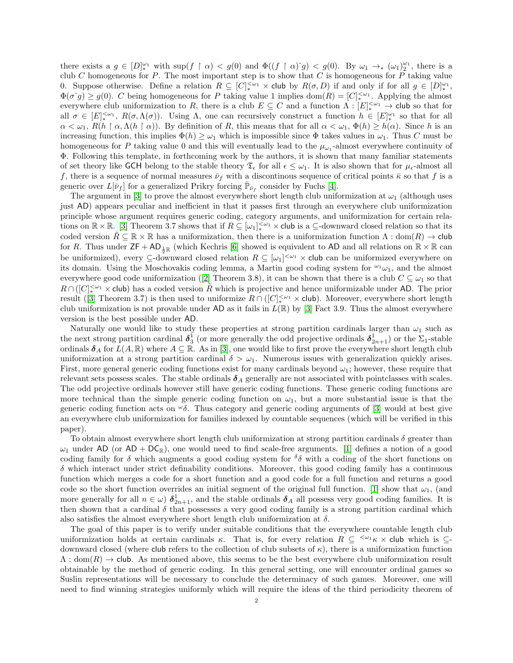there exists a  $g \in [D]_{*}^{\omega_1}$  with  $\sup(f \upharpoonright \alpha) < g(0)$  and  $\Phi((f \upharpoonright \alpha)^{s}g) < g(0)$ . By  $\omega_1 \to_{*} (\omega_1)_{2}^{\omega_1}$ , there is a club C homogeneous for P. The most important step is to show that C is homogeneous for P taking value 0. Suppose otherwise. Define a relation  $R \subseteq [C]_*^{<\omega_1} \times$  club by  $R(\sigma, D)$  if and only if for all  $g \in [D]_*^{\omega_1}$ ,  $\Phi(\sigma \hat{g}) \ge g(0)$ . C being homogeneous for P taking value 1 implies  $\text{dom}(R) = [C]_{*}^{<\omega_1}$ . Applying the almost everywhere club uniformization to R, there is a club  $E \subseteq C$  and a function  $\Lambda : [E]_*^{<\omega_1} \to$  club so that for all  $\sigma \in [E]_{*}^{<\omega_1}$ ,  $R(\sigma,\Lambda(\sigma))$ . Using  $\Lambda$ , one can recursively construct a function  $h \in [E]_{*}^{\omega_1}$  so that for all  $\alpha < \omega_1$ ,  $R(h \restriction \alpha, \Lambda(h \restriction \alpha))$ . By definition of R, this means that for all  $\alpha < \omega_1$ ,  $\Phi(h) \ge h(\alpha)$ . Since h is an increasing function, this implies  $\Phi(h) \geq \omega_1$  which is impossible since  $\Phi$  takes values in  $\omega_1$ . Thus C must be homogeneous for P taking value 0 and this will eventually lead to the  $\mu_{\omega_1}$ -almost everywhere continuity of Φ. Following this template, in forthcoming work by the authors, it is shown that many familiar statements of set theory like GCH belong to the stable theory  $\mathfrak{T}_{\epsilon}$  for all  $\epsilon \leq \omega_1$ . It is also shown that for  $\mu_{\epsilon}$ -almost all f, there is a sequence of normal measures  $\bar{\nu}_f$  with a discontinous sequence of critical points  $\bar{\kappa}$  so that f is a generic over  $L[\bar{\nu}_f]$  for a generalized Prikry forcing  $\bar{\mathbb{P}}_{\bar{\nu}_f}$  consider by Fuchs [\[4\]](#page-11-2).

The argument in [\[3\]](#page-11-1) to prove the almost everywhere short length club uniformization at  $\omega_1$  (although uses just AD) appears peculiar and inefficient in that it passes first through an everywhere club uniformization principle whose argument requires generic coding, category arguments, and uniformization for certain relations on  $\mathbb{R} \times \mathbb{R}$ . [\[3\]](#page-11-1) Theorem 3.7 shows that if  $R \subseteq [\omega_1]_{*}^{<\omega_1} \times$  club is a  $\subseteq$ -downward closed relation so that its coded version  $\hat{R} \subseteq \mathbb{R} \times \mathbb{R}$  has a uniformization, then there is a uniformization function  $\Lambda : \text{dom}(R) \to \text{club}$ for R. Thus under  $\mathsf{ZF} + \mathsf{AD}_{\frac{1}{2}\mathbb{R}}$  (which Kechris [\[6\]](#page-11-3) showed is equivalent to AD and all relations on  $\mathbb{R} \times \mathbb{R}$  can be uniformized), every  $\subseteq$ -downward closed relation  $R \subseteq [\omega_1]^{<\omega_1} \times$  club can be uniformized everywhere on its domain. Using the Moschovakis coding lemma, a Martin good coding system for  $\omega_1$ , and the almost everywheregood code uniformization ([\[2\]](#page-11-0) Theorem 3.8), it can be shown that there is a club  $C \subseteq \omega_1$  so that  $R \cap ( [C]_{*}^{<\omega_1} \times$  club) has a coded version  $\tilde{R}$  which is projective and hence uniformizable under AD. The prior result([\[3\]](#page-11-1) Theorem 3.7) is then used to uniformize  $R \cap ( [C]_{*}^{<\omega_1} \times \text{club})$ . Moreover, everywhere short length club uniformization is not provable under AD as it fails in  $L(\mathbb{R})$  by [\[3\]](#page-11-1) Fact 3.9. Thus the almost everywhere version is the best possible under AD.

Naturally one would like to study these properties at strong partition cardinals larger than  $\omega_1$  such as the next strong partition cardinal  $\delta_3^1$  (or more generally the odd projective ordinals  $\delta_{2n+1}^1$ ) or the  $\Sigma_1$ -stable ordinals  $\delta_A$  for  $L(A, \mathbb{R})$  where  $A \subseteq \mathbb{R}$ . As in [\[3\]](#page-11-1), one would like to first prove the everywhere short length club uniformization at a strong partition cardinal  $\delta > \omega_1$ . Numerous issues with generalization quickly arises. First, more general generic coding functions exist for many cardinals beyond  $\omega_1$ ; however, these require that relevant sets possess scales. The stable ordinals  $\delta_A$  generally are not associated with pointclasses with scales. The odd projective ordinals however still have generic coding functions. These generic coding functions are more technical than the simple generic coding function on  $\omega_1$ , but a more substantial issue is that the generic coding function acts on  $\omega_{\delta}$ . Thus category and generic coding arguments of [\[3\]](#page-11-1) would at best give an everywhere club uniformization for families indexed by countable sequences (which will be verified in this paper).

To obtain almost everywhere short length club uniformization at strong partition cardinals  $\delta$  greater than  $\omega_1$  under AD (or AD + DC<sub>R</sub>), one would need to find scale-free arguments. [\[1\]](#page-11-4) defines a notion of a good coding family for  $\delta$  which augments a good coding system for  $\delta\delta$  with a coding of the short functions on  $\delta$  which interact under strict definability conditions. Moreover, this good coding family has a continuous function which merges a code for a short function and a good code for a full function and returns a good code so the short function overrides an initial segment of the original full function. [\[1\]](#page-11-4) show that  $\omega_1$ , (and more generally for all  $n \in \omega$ )  $\delta_{2n+1}^1$ , and the stable ordinals  $\delta_A$  all possess very good coding families. It is then shown that a cardinal  $\delta$  that possesses a very good coding family is a strong partition cardinal which also satisfies the almost everywhere short length club uniformization at  $\delta$ .

The goal of this paper is to verify under suitable conditions that the everywhere countable length club uniformization holds at certain cardinals  $\kappa$ . That is, for every relation  $R \subseteq \langle\omega_1 \kappa \times \text{club}$  which is  $\subseteq$ downward closed (where club refers to the collection of club subsets of  $\kappa$ ), there is a uniformization function  $\Lambda : \text{dom}(R) \to \text{club.}$  As mentioned above, this seems to be the best everywhere club uniformization result obtainable by the method of generic coding. In this general setting, one will encounter ordinal games so Suslin representations will be necessary to conclude the determinacy of such games. Moreover, one will need to find winning strategies uniformly which will require the ideas of the third periodicity theorem of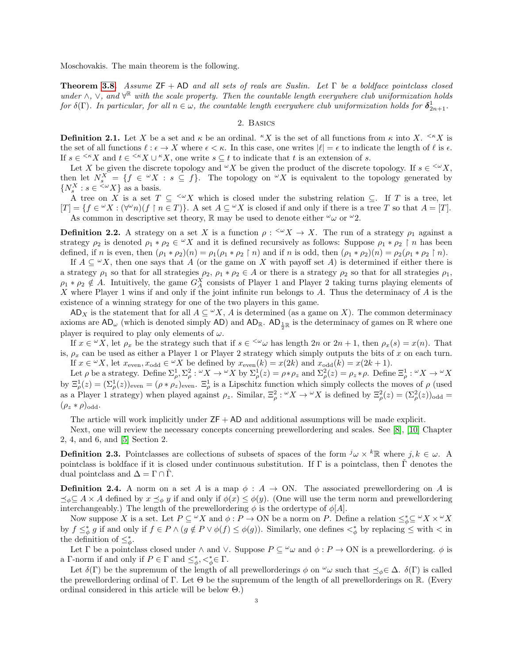Moschovakis. The main theorem is the following.

**Theorem [3.8.](#page-11-5)** Assume  $ZF + AD$  and all sets of reals are Suslin. Let  $\Gamma$  be a boldface pointclass closed under  $\wedge$ ,  $\vee$ , and  $\forall^{\mathbb{R}}$  with the scale property. Then the countable length everywhere club uniformization holds for  $\delta(\Gamma)$ . In particular, for all  $n \in \omega$ , the countable length everywhere club uniformization holds for  $\delta_{2n+1}^1$ .

# 2. Basics

**Definition 2.1.** Let X be a set and  $\kappa$  be an ordinal. "X is the set of all functions from  $\kappa$  into X.  $\leq K X$  is the set of all functions  $\ell : \epsilon \to X$  where  $\epsilon < \kappa$ . In this case, one writes  $|\ell| = \epsilon$  to indicate the length of  $\ell$  is  $\epsilon$ . If  $s \in \langle K \times X \rangle$  and  $t \in \langle K \times X \rangle$  one write  $s \subseteq t$  to indicate that t is an extension of s.

Let X be given the discrete topology and  $\mathscr{L}X$  be given the product of the discrete topology. If  $s \in \mathscr{L}X$ , then let  $N_s^X = \{f \in {}^{\omega}X : s \subseteq f\}$ . The topology on  ${}^{\omega}X$  is equivalent to the topology generated by  $\{N_s^X : s \in {}^{<\omega}X\}$  as a basis.

A tree on X is a set  $T \subseteq \langle W \rangle X$  which is closed under the substring relation  $\subseteq$ . If T is a tree, let  $[T] = \{f \in {}^{\omega}X : (\forall^{\omega}n)(f \restriction n \in T)\}.$  A set  $A \subseteq {}^{\omega}X$  is closed if and only if there is a tree T so that  $A = [T].$ As common in descriptive set theory,  $\mathbb R$  may be used to denote either  $\omega_{\omega}$  or  $\omega_{2}$ .

<span id="page-2-0"></span>**Definition 2.2.** A strategy on a set X is a function  $\rho$ :  $\alpha X \to X$ . The run of a strategy  $\rho_1$  against a strategy  $\rho_2$  is denoted  $\rho_1 * \rho_2 \in {}^{\omega}X$  and it is defined recursively as follows: Suppose  $\rho_1 * \rho_2 \upharpoonright n$  has been defined, if n is even, then  $(\rho_1 * \rho_2)(n) = \rho_1(\rho_1 * \rho_2 \restriction n)$  and if n is odd, then  $(\rho_1 * \rho_2)(n) = \rho_2(\rho_1 * \rho_2 \restriction n)$ .

If  $A \subseteq \mathcal{X}$ , then one says that A (or the game on X with payoff set A) is determined if either there is a strategy  $\rho_1$  so that for all strategies  $\rho_2$ ,  $\rho_1 * \rho_2 \in A$  or there is a strategy  $\rho_2$  so that for all strategies  $\rho_1$ ,  $\rho_1 * \rho_2 \notin A$ . Intuitively, the game  $G_A^X$  consists of Player 1 and Player 2 taking turns playing elements of X where Player 1 wins if and only if the joint infinite run belongs to A. Thus the determinacy of  $A$  is the existence of a winning strategy for one of the two players in this game.

AD<sub>X</sub> is the statement that for all  $A \subseteq \mathcal{X}$ , A is determined (as a game on X). The common determinacy axioms are  $AD_\omega$  (which is denoted simply AD) and  $AD_\mathbb{R}$ .  $AD_{\frac{1}{2}\mathbb{R}}$  is the determinacy of games on  $\mathbb R$  where one player is required to play only elements of  $\omega$ .

If  $x \in {}^{\omega}X$ , let  $\rho_x$  be the strategy such that if  $s \in {}^{\langle \omega} \omega$  has length  $2n$  or  $2n + 1$ , then  $\rho_x(s) = x(n)$ . That is,  $\rho_x$  can be used as either a Player 1 or Player 2 strategy which simply outputs the bits of x on each turn. If  $x \in {}^{\omega}X$ , let  $x_{\text{even}}$ ,  $x_{\text{odd}} \in {}^{\omega}X$  be defined by  $x_{\text{even}}(k) = x(2k)$  and  $x_{\text{odd}}(k) = x(2k+1)$ .

Let  $\rho$  be a strategy. Define  $\Sigma^1_\rho, \Sigma^2_\rho : {}^\omega X \to {}^\omega X$  by  $\Sigma^1_\rho(z) = \rho * \rho_z$  and  $\Sigma^2_\rho(z) = \rho_z * \rho$ . Define  $\Xi^1_\rho : {}^\omega X \to {}^\omega X$ by  $\Xi_{\rho}^{1}(z) = (\Sigma_{\rho}^{1}(z))_{\text{even}} = (\rho * \rho_{z})_{\text{even}}$ .  $\Xi_{\rho}^{1}$  is a Lipschitz function which simply collects the moves of  $\rho$  (used as a Player 1 strategy) when played against  $\rho_z$ . Similar,  $\Xi_\rho^2$ :  $\omega X \to \omega X$  is defined by  $\Xi_\rho^2(z) = (\Sigma_\rho^2(z))_{\text{odd}} =$  $(\rho_z * \rho)_{\text{odd}}$ .

The article will work implicitly under  $ZF + AD$  and additional assumptions will be made explicit.

Next, one will review the necessary concepts concerning prewellordering and scales. See [\[8\]](#page-11-6), [\[10\]](#page-11-7) Chapter 2, 4, and 6, and [\[5\]](#page-11-8) Section 2.

**Definition 2.3.** Pointclasses are collections of subsets of spaces of the form  $j \omega \times k \mathbb{R}$  where  $j, k \in \omega$ . A pointclass is boldface if it is closed under continuous substitution. If  $\Gamma$  is a pointclass, then  $\Gamma$  denotes the dual pointclass and  $\Delta = \Gamma \cap \tilde{\Gamma}$ .

**Definition 2.4.** A norm on a set A is a map  $\phi : A \to ON$ . The associated prewellordering on A is  $\preceq_{\phi} \subseteq A \times A$  defined by  $x \preceq_{\phi} y$  if and only if  $\phi(x) \leq \phi(y)$ . (One will use the term norm and prewellordering interchangeably.) The length of the prewellordering  $\phi$  is the ordertype of  $\phi[A]$ .

Now suppose X is a set. Let  $P \subseteq {}^{\omega}X$  and  $\phi : P \to ON$  be a norm on P. Define a relation  $\leq^*_{\phi} \subseteq {}^{\omega}X \times {}^{\omega}X$ by  $f \leq^*_{\phi} g$  if and only if  $f \in P \wedge (g \notin P \vee \phi(f) \leq \phi(g))$ . Similarly, one defines  $\lt^*_{\phi}$  by replacing  $\leq$  with  $\lt$  in the definition of  $\leq^*_{\phi}$ .

Let Γ be a pointclass closed under  $\land$  and  $\lor$ . Suppose  $P \subseteq \omega \omega$  and  $\phi : P \to ON$  is a prewellordering.  $\phi$  is a Γ-norm if and only if  $P \in \Gamma$  and  $\leq^*_{\phi}, \leq^*_{\phi} \in \Gamma$ .

Let  $\delta(\Gamma)$  be the supremum of the length of all prewellorderings  $\phi$  on  $\omega$  such that  $\preceq_{\phi} \in \Delta$ .  $\delta(\Gamma)$  is called the prewellordering ordinal of Γ. Let Θ be the supremum of the length of all prewellorderings on R. (Every ordinal considered in this article will be below Θ.)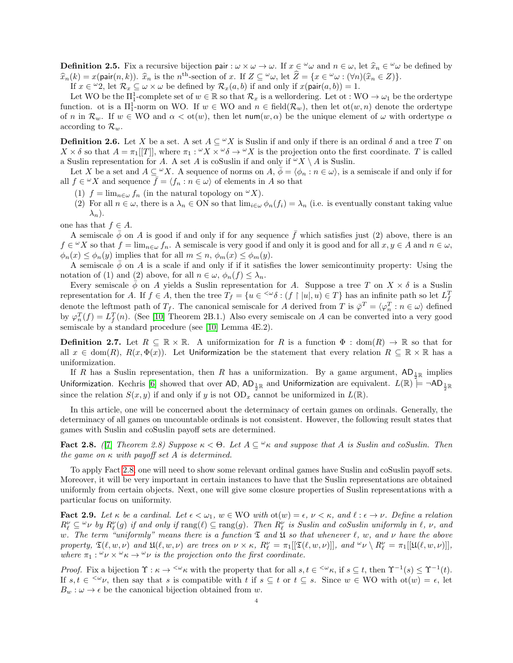**Definition 2.5.** Fix a recursive bijection pair :  $\omega \times \omega \to \omega$ . If  $x \in \omega$  and  $n \in \omega$ , let  $\hat{x}_n \in \omega$  be defined by  $\hat{x}_n(k) = x(\text{pair}(n,k))$ .  $\hat{x}_n$  is the *n*<sup>th</sup> section of  $x$ . If  $z \in \omega$ , let  $\hat{z} = \{x \in \omega \cup (\forall x)(\hat{x} \in$  $\hat{x}_n(k) = x(\text{pair}(n, k))$ .  $\hat{x}_n$  is the n<sup>th</sup>-section of x. If  $Z \subseteq \omega_{\omega}$ , let  $\hat{Z} = \{x \in \omega : (\forall n)(\hat{x}_n \in Z)\}\$ .<br>If  $x \in \omega_2$  let  $\mathcal{P} \subseteq \omega \times \omega$  be defined by  $\mathcal{P} \subseteq (a, b)$  if and only if  $x(\text{pair}(a, b)) = 1$ 

If  $x \in \omega$ , let  $\mathcal{R}_x \subseteq \omega \times \omega$  be defined by  $\mathcal{R}_x(a, b)$  if and only if  $x(\text{pair}(a, b)) = 1$ .

Let WO be the  $\Pi_1^1$ -complete set of  $w \in \mathbb{R}$  so that  $\mathcal{R}_x$  is a wellordering. Let  $\sigma: WO \to \omega_1$  be the ordertype function. ot is a  $\Pi_1^1$ -norm on WO. If  $w \in WO$  and  $n \in \text{field}(\mathcal{R}_w)$ , then let  $\text{ot}(w, n)$  denote the ordertype of n in  $\mathcal{R}_w$ . If  $w \in WO$  and  $\alpha < \text{ot}(w)$ , then let  $\text{num}(w, \alpha)$  be the unique element of  $\omega$  with ordertype  $\alpha$ according to  $\mathcal{R}_w$ .

<span id="page-3-2"></span>**Definition 2.6.** Let X be a set. A set  $A \subseteq {}^{\omega}X$  is Suslin if and only if there is an ordinal  $\delta$  and a tree T on  $X \times \delta$  so that  $A = \pi_1[[T]]$ , where  $\pi_1 : {}^{\omega}X \times {}^{\omega}\delta \to {}^{\omega}X$  is the projection onto the first coordinate. T is called a Suslin representation for A. A set A is coSuslin if and only if  $\alpha X \setminus A$  is Suslin.

Let X be a set and  $A \subseteq \omega X$ . A sequence of norms on  $A, \phi = \langle \phi_n : n \in \omega \rangle$ , is a semiscale if and only if for all  $f \in {}^{\omega}X$  and sequence  $\bar{f} = \langle f_n : n \in \omega \rangle$  of elements in A so that

- (1)  $f = \lim_{n \in \omega} f_n$  (in the natural topology on  ${}^{\omega} X$ ).
- (2) For all  $n \in \omega$ , there is a  $\lambda_n \in \text{ON}$  so that  $\lim_{i \in \omega} \phi_n(f_i) = \lambda_n$  (i.e. is eventually constant taking value  $\lambda_n$ ).

one has that  $f \in A$ .

A semiscale  $\bar{\phi}$  on A is good if and only if for any sequence  $\bar{f}$  which satisfies just (2) above, there is an  $f \in {}^{\omega}X$  so that  $f = \lim_{n \in \omega} f_n$ . A semiscale is very good if and only it is good and for all  $x, y \in A$  and  $n \in \omega$ ,  $\phi_n(x) \leq \phi_n(y)$  implies that for all  $m \leq n$ ,  $\phi_m(x) \leq \phi_m(y)$ .

A semiscale  $\phi$  on A is a scale if and only if if it satisfies the lower semicontinuity property: Using the notation of (1) and (2) above, for all  $n \in \omega$ ,  $\phi_n(f) \leq \lambda_n$ .

Every semiscale  $\phi$  on A yields a Suslin representation for A. Suppose a tree T on  $X \times \delta$  is a Suslin representation for A. If  $f \in A$ , then the tree  $T_f = \{u \in \langle \omega \delta : (f \restriction [u], u) \in T\}$  has an infinite path so let  $L_f^T$ denote the leftmost path of  $T_f$ . The canonical semiscale for A derived from T is  $\bar{\varphi}^T = \langle \varphi_n^T : n \in \omega \rangle$  defined by  $\varphi_n^T(f) = L_f^T(n)$ . (See [\[10\]](#page-11-7) Theorem 2B.1.) Also every semiscale on A can be converted into a very good semiscale by a standard procedure (see [\[10\]](#page-11-7) Lemma 4E.2).

**Definition 2.7.** Let  $R \subseteq \mathbb{R} \times \mathbb{R}$ . A uniformization for R is a function  $\Phi : \text{dom}(R) \to \mathbb{R}$  so that for all  $x \in \text{dom}(R), R(x, \Phi(x))$ . Let Uniformization be the statement that every relation  $R \subseteq \mathbb{R} \times \mathbb{R}$  has a uniformization.

If R has a Suslin representation, then R has a uniformization. By a game argument,  $AD_{\frac{1}{2}\mathbb{R}}$  implies Uniformization. Kechris [\[6\]](#page-11-3) showed that over AD, AD $_{\frac{1}{2}\R}$  and Uniformization are equivalent.  $L(\R) \models \neg \sf{AD}_{\frac{1}{2}\R}$ since the relation  $S(x, y)$  if and only if y is not  $OD_x$  cannot be uniformized in  $L(\mathbb{R})$ .

In this article, one will be concerned about the determinacy of certain games on ordinals. Generally, the determinacy of all games on uncountable ordinals is not consistent. However, the following result states that games with Suslin and coSuslin payoff sets are determined.

<span id="page-3-0"></span>Fact 2.8. ([\[7\]](#page-11-9) Theorem 2.8) Suppose  $\kappa < \Theta$ . Let  $A \subseteq \mathcal{A}$  and suppose that A is Suslin and coSuslin. Then the game on  $\kappa$  with payoff set A is determined.

To apply Fact [2.8,](#page-3-0) one will need to show some relevant ordinal games have Suslin and coSuslin payoff sets. Moreover, it will be very important in certain instances to have that the Suslin representations are obtained uniformly from certain objects. Next, one will give some closure properties of Suslin representations with a particular focus on uniformity.

<span id="page-3-1"></span>Fact 2.9. Let  $\kappa$  be a cardinal. Let  $\epsilon < \omega_1$ ,  $w \in WO$  with  $\text{ot}(w) = \epsilon$ ,  $\nu < \kappa$ , and  $\ell : \epsilon \to \nu$ . Define a relation  $R_\ell^\nu \subseteq {}^{\omega} \nu$  by  $R_\ell^\nu(g)$  if and only if  $\text{rang}(\ell) \subseteq \text{rang}(g)$ . Then  $R_\ell^\nu$  is Suslin and coSuslin uniformly in  $\ell$ ,  $\nu$ , and w. The term "uniformly" means there is a function  $\mathfrak T$  and  $\mathfrak U$  so that whenever  $\ell$ , w, and  $\nu$  have the above property,  $\mathfrak{T}(\ell, w, \nu)$  and  $\mathfrak{U}(\ell, w, \nu)$  are trees on  $\nu \times \kappa$ ,  $R_{\ell}^{\nu} = \pi_1[[\mathfrak{T}(\ell, w, \nu)]]$ , and  ${}^{\omega}\nu \setminus R_{\ell}^{\nu} = \pi_1[[\mathfrak{U}(\ell, w, \nu)]]$ , where  $\pi_1$ :  $\omega \nu \times \omega \kappa \rightarrow \omega \nu$  is the projection onto the first coordinate.

Proof. Fix a bijection  $\Upsilon : \kappa \to \langle \omega_{\kappa} \rangle$  with the property that for all  $s, t \in \langle \omega_{\kappa} \rangle$ , if  $s \subseteq t$ , then  $\Upsilon^{-1}(s) \leq \Upsilon^{-1}(t)$ . If  $s, t \in \langle w \nu \rangle$ , then say that s is compatible with t if  $s \subseteq t$  or  $t \subseteq s$ . Since  $w \in WO$  with  $ot(w) = \epsilon$ , let  $B_w : \omega \to \epsilon$  be the canonical bijection obtained from w.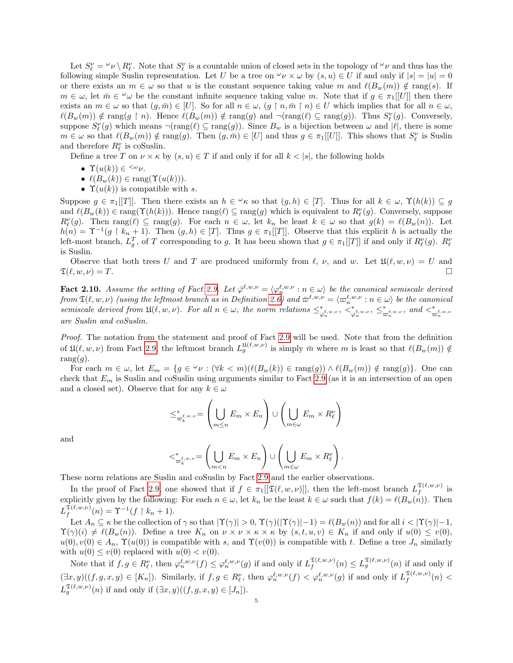Let  $S_\ell^\nu = \nu \setminus R_\ell^\nu$ . Note that  $S_\ell^\nu$  is a countable union of closed sets in the topology of  $\nu$  and thus has the following simple Suslin representation. Let U be a tree on  $\omega \vee \omega$  by  $(s, u) \in U$  if and only if  $|s| = |u| = 0$ or there exists an  $m \in \omega$  so that u is the constant sequence taking value m and  $\ell(B_w(m)) \notin \text{rang}(s)$ . If  $m \in \omega$ , let  $\overline{m} \in \omega$  be the constant infinite sequence taking value m. Note that if  $g \in \pi_1[[U]]$  then there exists an  $m \in \omega$  so that  $(g, \overline{m}) \in [U]$ . So for all  $n \in \omega$ ,  $(g \restriction n, \overline{m} \restriction n) \in U$  which implies that for all  $n \in \omega$ ,  $\ell(B_w(m)) \notin \text{rang}(g \restriction n)$ . Hence  $\ell(B_w(m)) \notin \text{rang}(g)$  and  $\neg(\text{rang}(\ell) \subseteq \text{rang}(g))$ . Thus  $S_{\ell}(g)$ . Conversely, suppose  $S_{\ell}^{\nu}(g)$  which means  $\neg(\text{rang}(\ell) \subseteq \text{rang}(g))$ . Since  $B_w$  is a bijection between  $\omega$  and  $|\ell|$ , there is some  $m \in \omega$  so that  $\ell(B_w(m)) \notin \text{rang}(g)$ . Then  $(g, \overline{m}) \in [U]$  and thus  $g \in \pi_1[[U]]$ . This shows that  $S_\ell^{\nu}$  is Suslin and therefore  $R^{\nu}_{\ell}$  is coSuslin.

Define a tree T on  $\nu \times \kappa$  by  $(s, u) \in T$  if and only if for all  $k < |s|$ , the following holds

- $\Upsilon(u(k)) \in \langle \omega \nu \rangle$
- $\ell(B_w(k)) \in \text{rang}(\Upsilon(u(k))).$
- $\Upsilon(u(k))$  is compatible with s.

Suppose  $g \in \pi_1[[T]]$ . Then there exists an  $h \in \mathcal{L}_k$  so that  $(g,h) \in [T]$ . Thus for all  $k \in \omega$ ,  $\Upsilon(h(k)) \subseteq g$ and  $\ell(B_w(k)) \in \text{rang}(\Upsilon(h(k)))$ . Hence  $\text{rang}(\ell) \subseteq \text{rang}(g)$  which is equivalent to  $R_{\ell}(g)$ . Conversely, suppose  $R_{\ell}^{\nu}(g)$ . Then rang $(\ell) \subseteq \text{rang}(g)$ . For each  $n \in \omega$ , let  $k_n$  be least  $k \in \omega$  so that  $g(k) = \ell(B_w(n))$ . Let  $h(n) = \Upsilon^{-1}(g \upharpoonright k_n + 1)$ . Then  $(g, h) \in [T]$ . Thus  $g \in \pi_1[[T]]$ . Observe that this explicit h is actually the left-most branch,  $L_g^T$ , of T corresponding to g. It has been shown that  $g \in \pi_1[[T]]$  if and only if  $R_{\ell}^{\nu}(g)$ .  $R_{\ell}^{\nu}$ is Suslin.

Observe that both trees U and T are produced uniformly from  $\ell$ ,  $\nu$ , and w. Let  $\mathfrak{U}(\ell, w, \nu) = U$  and  $\mathfrak{T}(\ell, w, \nu) = T.$ 

<span id="page-4-0"></span>Fact 2.10. Assume the setting of Fact [2.9.](#page-3-1) Let  $\overline{\varphi}^{\ell,w,\nu} = \langle \varphi_n^{\ell,w,\nu} : n \in \omega \rangle$  be the canonical semiscale derived  ${\rm from}~\mathfrak{T}(\ell,w,\nu)$  (using the leftmost branch as in Definition [2.6\)](#page-3-2) and  $\bar{\varpi}^{\ell,w,\nu}=\langle\varpi^{\ell,w,\nu}_n:n\in\omega\rangle$  be the canonical semiscale derived from  $\mathfrak{U}(\ell,w,\nu)$ . For all  $n \in \omega$ , the norm relations  $\leq^*_{\varphi_n^{\ell,w,\nu}}, \leq^*_{\varphi_n^{\ell,w,\nu}}, \leq^*_{\varpi_n^{\ell,w,\nu}},$  and  $\leq^*_{\varpi_n^{\ell,w,\nu}}$ are Suslin and coSuslin.

Proof. The notation from the statement and proof of Fact [2.9](#page-3-1) will be used. Note that from the definition of  $\mathfrak{U}(\ell, w, \nu)$  from Fact [2.9,](#page-3-1) the leftmost branch  $L_g^{\mathfrak{U}(\ell,w,\nu)}$  is simply  $\bar{m}$  where m is least so that  $\ell(B_w(m)) \notin$ rang $(g)$ .

For each  $m \in \omega$ , let  $E_m = \{ g \in \omega : (\forall k < m) (\ell(B_w(k)) \in \text{rang}(g)) \wedge \ell(B_w(m)) \notin \text{rang}(g) \}.$  One can check that  $E_m$  is Suslin and coSuslin using arguments similar to Fact [2.9](#page-3-1) (as it is an intersection of an open and a closed set). Observe that for any  $k \in \omega$ 

$$
\leq^*_{\varpi_k^{\ell,w,\nu}} = \left(\bigcup_{m \leq n} E_m \times E_n\right) \cup \left(\bigcup_{m \in \omega} E_m \times R_\ell^\nu\right)
$$

and

$$
\langle \xi^*_{\varpi_k^{\ell,w,\nu}} = \left( \bigcup_{m < n} E_m \times E_n \right) \cup \left( \bigcup_{m \in \omega} E_m \times R_\ell^\nu \right).
$$

These norm relations are Suslin and coSuslin by Fact [2.9](#page-3-1) and the earlier observations.

In the proof of Fact [2.9,](#page-3-1) one showed that if  $f \in \pi_1[[\mathfrak{T}(\ell,w,\nu)]]$ , then the left-most branch  $L_f^{\mathfrak{T}(\ell,w,\nu)}$  $\int_{f}^{2(\ell, w, \nu)}$  is explicitly given by the following: For each  $n \in \omega$ , let  $k_n$  be the least  $k \in \omega$  such that  $f(k) = \ell(B_w(n))$ . Then  $L^{\mathfrak{T}(\ell,w,\nu)}_f$  $f_f^{\mathfrak{T}(\ell,w,\nu)}(n) = \Upsilon^{-1}(f \restriction k_n + 1).$ 

Let  $A_n \subseteq \kappa$  be the collection of  $\gamma$  so that  $|\Upsilon(\gamma)| > 0$ ,  $\Upsilon(\gamma)(|\Upsilon(\gamma)|-1) = \ell(B_w(n))$  and for all  $i < |\Upsilon(\gamma)|-1$ ,  $\Upsilon(\gamma)(i) \neq \ell(B_w(n))$ . Define a tree  $K_n$  on  $\nu \times \nu \times \kappa \times \kappa$  by  $(s, t, u, v) \in K_n$  if and only if  $u(0) \leq v(0)$ ,  $u(0), v(0) \in A_n$ ,  $\Upsilon(u(0))$  is compatible with s, and  $\Upsilon(v(0))$  is compatible with t. Define a tree  $J_n$  similarly with  $u(0) \le v(0)$  replaced with  $u(0) < v(0)$ .

Note that if  $f, g \in R_{\ell}^{\nu}$ , then  $\varphi_n^{\ell,w,\nu}(f) \leq \varphi_n^{\ell,w,\nu}(g)$  if and only if  $L_f^{\mathfrak{T}(\ell,w,\nu)}$  $f_f^{\mathfrak{T}(\ell,w,\nu)}(n) \leq L_g^{\mathfrak{T}(\ell,w,\nu)}(n)$  if and only if  $(\exists x, y) ((f, g, x, y) \in [K_n])$ . Similarly, if  $f, g \in R_\ell^\nu$ , then  $\varphi_n^{\ell,w,\nu}(f) < \varphi_n^{\ell,w,\nu}(g)$  if and only if  $L_f^{\mathfrak{T}(\ell,w,\nu)}$  $\int_f^{\mathcal{L}(\ell,w,\nu)}(n)$  <  $L_g^{\mathfrak{T}(\ell,w,\nu)}(n)$  if and only if  $(\exists x,y)((f,g,x,y) \in [J_n]).$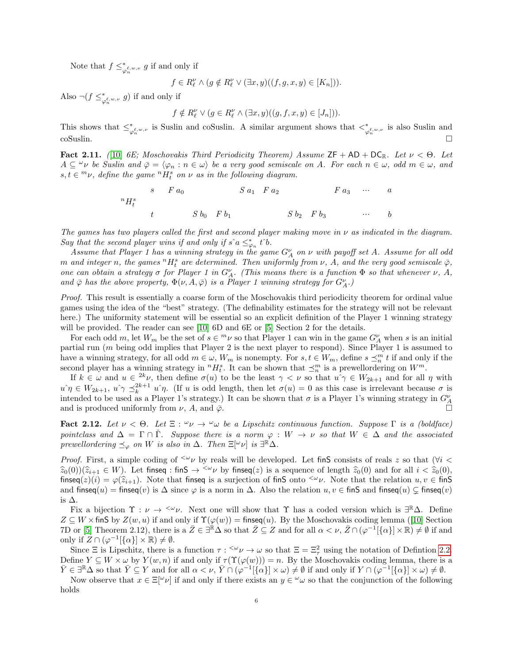Note that  $f \leq^*_{\varphi_n^{\ell,w,\nu}} g$  if and only if

$$
f\in R_\ell^\nu\wedge (g\notin R_\ell^\nu\vee(\exists x,y)((f,g,x,y)\in [K_n])).
$$

Also  $\neg(f \leq^*_{\varphi_n^{\ell,w,\nu}} g)$  if and only if

$$
f \notin R_{\ell}^{\nu} \vee (g \in R_{\ell}^{\nu} \wedge (\exists x, y)((g, f, x, y) \in [J_n])).
$$

This shows that  $\leq^*_{\varphi_n^{\ell,w,\nu}}$  is Suslin and coSuslin. A similar argument shows that  $\lt^*_{\varphi_n^{\ell,w,\nu}}$  is also Suslin and  $\sum_{n=1}^{\infty}$  coSuslin.

<span id="page-5-0"></span>**Fact 2.11.** ([\[10\]](#page-11-7) 6E; Moschovakis Third Periodicity Theorem) Assume  $ZF + AD + DC_R$ . Let  $\nu < \Theta$ . Let  $A \subseteq \omega_{\nu}$  be Suslin and  $\bar{\varphi} = \langle \varphi_n : n \in \omega \rangle$  be a very good semiscale on A. For each  $n \in \omega$ , odd  $m \in \omega$ , and  $s, t \in \infty$ , define the game  ${}^{n}H_{t}^{s}$  on  $\nu$  as in the following diagram.

$$
{}^{s} \quad F a_{0} \qquad S a_{1} \quad F a_{2} \qquad F a_{3} \qquad \cdots \qquad a
$$
  
\n
$$
{}^{n} H_{t}^{s} \qquad t \qquad S b_{0} \quad F b_{1} \qquad S b_{2} \quad F b_{3} \qquad \cdots \qquad b
$$

The games has two players called the first and second player making move in  $\nu$  as indicated in the diagram. Say that the second player wins if and only if  $\hat{s} \hat{\alpha} \leq_{\varphi_n}^* t \hat{\beta}$ .

Assume that Player 1 has a winning strategy in the game  $G_A^{\nu}$  on  $\nu$  with payoff set A. Assume for all odd m and integer n, the games  $^{n}H^{s}_{t}$  are determined. Then uniformly from  $\nu$ , A, and the very good semiscale  $\bar{\varphi}$ , one can obtain a strategy  $\sigma$  for Player 1 in  $G_A^{\nu}$ . (This means there is a function  $\Phi$  so that whenever  $\nu$ , A, and  $\bar{\varphi}$  has the above property,  $\Phi(\nu, A, \bar{\varphi})$  is a Player 1 winning strategy for  $G_A^{\nu}$ .)

Proof. This result is essentially a coarse form of the Moschovakis third periodicity theorem for ordinal value games using the idea of the "best" strategy. (The definability estimates for the strategy will not be relevant here.) The uniformity statement will be essential so an explicit definition of the Player 1 winning strategy will be provided. The reader can see [\[10\]](#page-11-7) 6D and 6E or [\[5\]](#page-11-8) Section 2 for the details.

For each odd m, let  $W_m$  be the set of  $s \in {}^m\nu$  so that Player 1 can win in the game  $G_A^{\nu}$  when s is an initial partial run (m being odd implies that Player 2 is the next player to respond). Since Player 1 is assumed to have a winning strategy, for all odd  $m \in \omega$ ,  $W_m$  is nonempty. For  $s, t \in W_m$ , define  $s \preceq_m^m t$  if and only if the second player has a winning strategy in  ${}^n H_t^s$ . It can be shown that  $\preceq_n^m$  is a prewellordering on  $W^m$ .

If  $k \in \omega$  and  $u \in {}^{2k}\nu$ , then define  $\sigma(u)$  to be the least  $\gamma < \nu$  so that  $u^{\hat{\ }} \gamma \in W_{2k+1}$  and for all  $\eta$  with  $u\hat{i}\eta \in W_{2k+1}, u\hat{i}\gamma \leq_k^{2k+1} u\hat{i}\eta$ . (If u is odd length, then let  $\sigma(u) = 0$  as this case is irrelevant because  $\sigma$  is intended to be used as a Player 1's strategy.) It can be shown that  $\sigma$  is a Player 1's winning strategy in  $G_A^{\nu}$ and is produced uniformly from  $\nu$ , A, and  $\bar{\varphi}$ .

<span id="page-5-1"></span>**Fact 2.12.** Let  $\nu < \Theta$ . Let  $\Xi : \omega_{\nu} \to \omega_{\omega}$  be a Lipschitz continuous function. Suppose  $\Gamma$  is a (boldface) pointclass and  $\Delta = \Gamma \cap \check{\Gamma}$ . Suppose there is a norm  $\varphi : W \to \nu$  so that  $W \in \Delta$  and the associated prewellordering  $\preceq_{\varphi}$  on W is also in  $\Delta$ . Then  $\Xi[\omega]$  is  $\exists^{\mathbb{R}}\Delta$ .

*Proof.* First, a simple coding of  $\langle w \rangle$  by reals will be developed. Let finS consists of reals z so that ( $\forall i$  $\hat{z}_0(0)(\hat{z}_{i+1} \in W)$ . Let finseq : finS  $\rightarrow \langle \omega \nu \rangle$  by finseq(*z*) is a sequence of length  $\hat{z}_0(0)$  and for all  $i < \hat{z}_0(0)$ , finseq(z)(i) =  $\varphi(\widehat{z}_{i+1})$ . Note that finseq is a surjection of finS onto  $\leq \nu$ . Note that the relation  $u, v \in \text{finS}$ and finseq $(u)$  = finseq $(v)$  is  $\Delta$  since  $\varphi$  is a norm in  $\Delta$ . Also the relation  $u, v \in \text{finS}$  and finseq $(u) \subsetneq \text{finseq}(v)$ is ∆.

Fix a bijection  $\Upsilon : \nu \to \langle \omega \nu \rangle$ . Next one will show that  $\Upsilon$  has a coded version which is  $\exists^{\mathbb{R}} \Delta$ . Define  $Z \subseteq W \times \text{fin}S$  $Z \subseteq W \times \text{fin}S$  $Z \subseteq W \times \text{fin}S$  by  $Z(w, u)$  if and only if  $\Upsilon(\varphi(w)) = \text{finseq}(u)$ . By the Moschovakis coding lemma ([\[10\]](#page-11-7) Section 7D or [\[5\]](#page-11-8) Theorem 2.12), there is a  $\bar{Z} \in \exists^{\mathbb{R}} \Delta$  so that  $\bar{Z} \subseteq Z$  and for all  $\alpha < \nu$ ,  $\bar{Z} \cap (\varphi^{-1}[\{\alpha\}] \times \mathbb{R}) \neq \emptyset$  if and only if  $Z \cap (\varphi^{-1}[\{\alpha\}] \times \mathbb{R}) \neq \emptyset$ .

Since  $\Xi$  is Lipschitz, there is a function  $\tau : \langle \omega \nu \to \omega \rangle$  so that  $\Xi = \Xi^2_\tau$  using the notation of Defintion [2.2.](#page-2-0) Define  $Y \subseteq W \times \omega$  by  $Y(w, n)$  if and only if  $\tau(\Upsilon(\varphi(w))) = n$ . By the Moschovakis coding lemma, there is a  $\overline{Y} \in \mathbb{R}^{\mathbb{R}}$  and  $\overline{Y} \subseteq Y$  and for all  $\alpha < \nu$ ,  $\overline{Y} \cap (\varphi^{-1}[\{\alpha\}] \times \omega) \neq \emptyset$  if and only if  $Y \cap (\varphi^{-1}[\{\alpha\}] \times \omega) \neq \emptyset$ .

Now observe that  $x \in \Xi[\omega]$  if and only if there exists an  $y \in \omega$  so that the conjunction of the following holds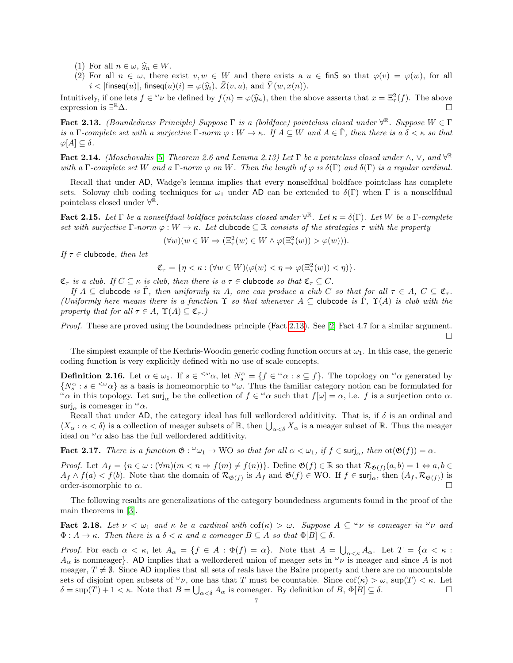- (1) For all  $n \in \omega$ ,  $\widehat{y}_n \in W$ .
- (2) For all  $n \in \omega$ , there exist  $v, w \in W$  and there exists a  $u \in \text{fin } S$  so that  $\varphi(v) = \varphi(w)$ , for all  $i < |$  finseq $(u)$ , finseq $(u)(i) = \varphi(\widehat{y}_i), Z(v, u),$  and  $\overline{Y}(w, x(n))$ .

Intuitively, if one lets  $f \in \omega_{\nu}$  be defined by  $f(n) = \varphi(\widehat{y}_n)$ , then the above asserts that  $x = \Xi^2_{\tau}(f)$ . The above asserts that  $x = \Xi^2_{\tau}(f)$ . expression is  $\exists^{\mathbb{R}} \Delta$ .  $R_{\Delta}$ .

<span id="page-6-0"></span>**Fact 2.13.** (Boundedness Principle) Suppose  $\Gamma$  is a (boldface) pointclass closed under  $\forall^{\mathbb{R}}$ . Suppose  $W \in \Gamma$ is a Γ-complete set with a surjective  $\Gamma$ -norm  $\varphi : W \to \kappa$ . If  $A \subseteq W$  and  $A \in \tilde{\Gamma}$ , then there is a  $\delta \lt \kappa$  so that  $\varphi[A] \subseteq \delta$ .

<span id="page-6-3"></span>Fact 2.14. (Moschovakis [\[5\]](#page-11-8) Theorem 2.6 and Lemma 2.13) Let  $\Gamma$  be a pointclass closed under  $\wedge$ ,  $\vee$ , and  $\forall^{\mathbb{R}}$ with a Γ-complete set W and a Γ-norm  $\varphi$  on W. Then the length of  $\varphi$  is  $\delta(\Gamma)$  and  $\delta(\Gamma)$  is a regular cardinal.

Recall that under AD, Wadge's lemma implies that every nonselfdual boldface pointclass has complete sets. Solovay club coding techniques for  $\omega_1$  under AD can be extended to  $\delta(\Gamma)$  when  $\Gamma$  is a nonselfdual pointclass closed under  $\forall^{\mathbb{R}}$ .

<span id="page-6-2"></span>**Fact 2.15.** Let  $\Gamma$  be a nonselfdual boldface pointclass closed under  $\forall^{\mathbb{R}}$ . Let  $\kappa = \delta(\Gamma)$ . Let W be a  $\Gamma$ -complete set with surjective  $\Gamma$ -norm  $\varphi : W \to \kappa$ . Let clubcode  $\subset \mathbb{R}$  consists of the strategies  $\tau$  with the property

$$
(\forall w)(w \in W \Rightarrow (\Xi^2_\tau(w) \in W \land \varphi(\Xi^2_\tau(w)) > \varphi(w))).
$$

If  $\tau \in$  clubcode, then let

$$
\mathfrak{C}_{\tau} = \{ \eta < \kappa : (\forall w \in W)(\varphi(w) < \eta \Rightarrow \varphi(\Xi^2_{\tau}(w)) < \eta) \}.
$$

 $\mathfrak{C}_{\tau}$  is a club. If  $C \subseteq \kappa$  is club, then there is a  $\tau \in$  clubcode so that  $\mathfrak{C}_{\tau} \subseteq C$ .

If  $A \subseteq$  clubcode is  $\check{\Gamma}$ , then uniformly in A, one can produce a club C so that for all  $\tau \in A$ ,  $C \subseteq \mathfrak{C}_{\tau}$ . (Uniformly here means there is a function  $\Upsilon$  so that whenever  $A \subseteq$  clubcode is  $\check{\Gamma}$ ,  $\Upsilon(A)$  is club with the property that for all  $\tau \in A$ ,  $\Upsilon(A) \subseteq \mathfrak{C}_{\tau}$ .)

Proof. These are proved using the boundedness principle (Fact [2.13\)](#page-6-0). See [\[2\]](#page-11-0) Fact 4.7 for a similar argument.  $\Box$ 

The simplest example of the Kechris-Woodin generic coding function occurs at  $\omega_1$ . In this case, the generic coding function is very explicitly defined with no use of scale concepts.

**Definition 2.16.** Let  $\alpha \in \omega_1$ . If  $s \in \langle \omega_\alpha \rangle$ , let  $N_s^\alpha = \{f \in \omega_\alpha : s \subseteq f\}$ . The topology on  $\omega_\alpha$  generated by  $\{N_s^{\alpha}: s \in \langle \omega \rangle\}$  as a basis is homeomorphic to  $\omega \omega$ . Thus the familiar category notion can be formulated for  $\omega_{\alpha}$  in this topology. Let surj<sub>α</sub> be the collection of  $f \in \omega_{\alpha}$  such that  $f[\omega] = \alpha$ , i.e. f is a surjection onto  $\alpha$ . surj<sub>α</sub> is comeager in  $\omega_{\alpha}$ .

Recall that under AD, the category ideal has full wellordered additivity. That is, if  $\delta$  is an ordinal and  $\langle X_\alpha : \alpha < \delta \rangle$  is a collection of meager subsets of  $\mathbb{R}$ , then  $\bigcup_{\alpha < \delta} X_\alpha$  is a meager subset of  $\mathbb{R}$ . Thus the meager ideal on  $\alpha$  also has the full wellordered additivity.

<span id="page-6-4"></span>**Fact 2.17.** There is a function  $\mathfrak{G}: \omega_1 \to WO$  so that for all  $\alpha < \omega_1$ , if  $f \in \text{surj}_{\alpha}$ , then  $\text{ot}(\mathfrak{G}(f)) = \alpha$ .

*Proof.* Let  $A_f = \{n \in \omega : (\forall m)(m \leq n \Rightarrow f(m) \neq f(n))\}$ . Define  $\mathfrak{G}(f) \in \mathbb{R}$  so that  $\mathcal{R}_{\mathfrak{G}(f)}(a, b) = 1 \Leftrightarrow a, b \in \mathbb{R}$  $A_f \wedge f(a) < f(b)$ . Note that the domain of  $\mathcal{R}_{\mathfrak{G}(f)}$  is  $A_f$  and  $\mathfrak{G}(f) \in \text{WO}$ . If  $f \in \text{surj}_{\alpha}$ , then  $(A_f, \mathcal{R}_{\mathfrak{G}(f)})$  is order-isomorphic to  $\alpha$ .

The following results are generalizations of the category boundedness arguments found in the proof of the main theorems in [\[3\]](#page-11-1).

<span id="page-6-1"></span>**Fact 2.18.** Let  $\nu < \omega_1$  and  $\kappa$  be a cardinal with  $\text{cof}(\kappa) > \omega$ . Suppose  $A \subseteq {}^{\omega} \nu$  is comeager in  ${}^{\omega} \nu$  and  $\Phi: A \to \kappa$ . Then there is a  $\delta < \kappa$  and a comeager  $B \subseteq A$  so that  $\Phi[B] \subseteq \delta$ .

*Proof.* For each  $\alpha < \kappa$ , let  $A_{\alpha} = \{f \in A : \Phi(f) = \alpha\}$ . Note that  $A = \bigcup_{\alpha < \kappa} A_{\alpha}$ . Let  $T = \{\alpha < \kappa : A_{\alpha} = \alpha\}$ .  $A_{\alpha}$  is nonmeager}. AD implies that a wellordered union of meager sets in  $\omega_{\nu}$  is meager and since A is not meager,  $T \neq \emptyset$ . Since AD implies that all sets of reals have the Baire property and there are no uncountable sets of disjoint open subsets of  $\omega_{\nu}$ , one has that T must be countable. Since  $\text{cof}(\kappa) > \omega$ ,  $\text{sup}(T) < \kappa$ . Let  $\delta = \sup(T) + 1 < \kappa$ . Note that  $B = \bigcup_{\alpha < \delta} A_{\alpha}$  is comeager. By definition of  $B, \Phi[B] \subseteq \delta$ .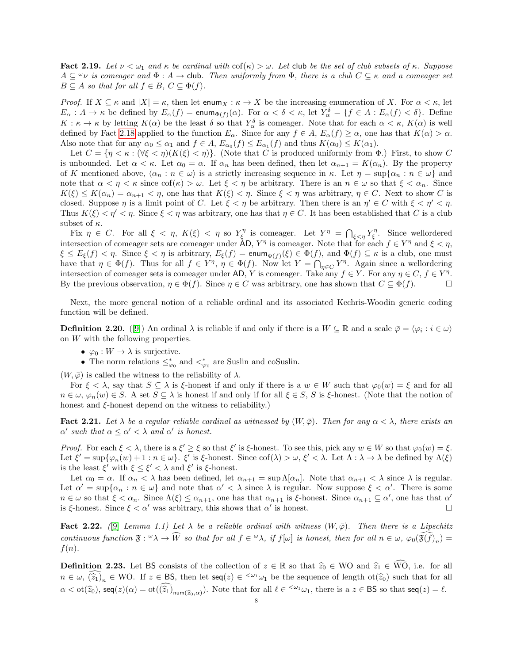<span id="page-7-1"></span>Fact 2.19. Let  $\nu < \omega_1$  and  $\kappa$  be cardinal with  $\text{cof}(\kappa) > \omega$ . Let club be the set of club subsets of  $\kappa$ . Suppose  $A \subseteq \nu$  is comeager and  $\Phi : A \to$  club. Then uniformly from  $\Phi$ , there is a club  $C \subseteq \kappa$  and a comeager set  $B \subseteq A$  so that for all  $f \in B$ ,  $C \subseteq \Phi(f)$ .

Proof. If  $X \subseteq \kappa$  and  $|X| = \kappa$ , then let enum $X : \kappa \to X$  be the increasing enumeration of X. For  $\alpha < \kappa$ , let  $E_{\alpha}: A \to \kappa$  be defined by  $E_{\alpha}(f) = \text{enum}_{\Phi(f)}(\alpha)$ . For  $\alpha < \delta < \kappa$ , let  $Y_{\alpha}^{\delta} = \{f \in A : E_{\alpha}(f) < \delta\}$ . Define  $K: \kappa \to \kappa$  by letting  $K(\alpha)$  be the least  $\delta$  so that  $Y_\alpha^{\delta}$  is comeager. Note that for each  $\alpha < \kappa$ ,  $K(\alpha)$  is well defined by Fact [2.18](#page-6-1) applied to the function  $E_{\alpha}$ . Since for any  $f \in A$ ,  $E_{\alpha}(f) \geq \alpha$ , one has that  $K(\alpha) > \alpha$ . Also note that for any  $\alpha_0 \leq \alpha_1$  and  $f \in A$ ,  $E_{\alpha_0}(f) \leq E_{\alpha_1}(f)$  and thus  $K(\alpha_0) \leq K(\alpha_1)$ .

Let  $C = \{\eta < \kappa : (\forall \xi < \eta)(K(\xi) < \eta)\}\.$  (Note that C is produced uniformly from  $\Phi$ .) First, to show C is unbounded. Let  $\alpha < \kappa$ . Let  $\alpha_0 = \alpha$ . If  $\alpha_n$  has been defined, then let  $\alpha_{n+1} = K(\alpha_n)$ . By the property of K mentioned above,  $\langle \alpha_n : n \in \omega \rangle$  is a strictly increasing sequence in κ. Let  $\eta = \sup{\{\alpha_n : n \in \omega\}}$  and note that  $\alpha < \eta < \kappa$  since  $\text{cof}(\kappa) > \omega$ . Let  $\xi < \eta$  be arbitrary. There is an  $n \in \omega$  so that  $\xi < \alpha_n$ . Since  $K(\xi) \leq K(\alpha_n) = \alpha_{n+1} < \eta$ , one has that  $K(\xi) < \eta$ . Since  $\xi < \eta$  was arbitrary,  $\eta \in C$ . Next to show C is closed. Suppose  $\eta$  is a limit point of C. Let  $\xi < \eta$  be arbitrary. Then there is an  $\eta' \in C$  with  $\xi < \eta' < \eta$ . Thus  $K(\xi) < \eta' < \eta$ . Since  $\xi < \eta$  was arbitrary, one has that  $\eta \in C$ . It has been established that C is a club subset of  $\kappa$ .

Fix  $\eta \in C$ . For all  $\xi < \eta$ ,  $K(\xi) < \eta$  so  $Y_{\xi}^{\eta}$  is comeager. Let  $Y^{\eta} = \bigcap_{\xi < \eta} Y_{\xi}^{\eta}$ . Since wellordered intersection of comeager sets are comeager under  $AD$ ,  $Y^{\eta}$  is comeager. Note that for each  $f \in Y^{\eta}$  and  $\xi < \eta$ ,  $\xi \le E_{\xi}(f) < \eta$ . Since  $\xi < \eta$  is arbitrary,  $E_{\xi}(f) = \text{enum}_{\Phi(f)}(\xi) \in \Phi(f)$ , and  $\Phi(f) \subseteq \kappa$  is a club, one must have that  $\eta \in \Phi(f)$ . Thus for all  $f \in Y^{\eta}$ ,  $\eta \in \Phi(f)$ . Now let  $Y = \bigcap_{\eta \in C} Y^{\eta}$ . Again since a wellordering intersection of comeager sets is comeager under AD, Y is comeager. Take any  $f \in Y$ . For any  $\eta \in C$ ,  $f \in Y^{\eta}$ . By the previous observation,  $\eta \in \Phi(f)$ . Since  $\eta \in C$  was arbitrary, one has shown that  $C \subseteq \Phi(f)$ .

Next, the more general notion of a reliable ordinal and its associated Kechris-Woodin generic coding function will be defined.

**Definition 2.20.** ([\[9\]](#page-11-10)) An ordinal  $\lambda$  is reliable if and only if there is a  $W \subseteq \mathbb{R}$  and a scale  $\bar{\varphi} = \langle \varphi_i : i \in \omega \rangle$ on W with the following properties.

- $\bullet \ \varphi_0: W \to \lambda$  is surjective.
- The norm relations  $\leq^*_{\varphi_0}$  and  $\lt^*_{\varphi_0}$  are Suslin and coSuslin.

 $(W, \bar{\varphi})$  is called the witness to the reliability of  $\lambda$ .

For  $\xi < \lambda$ , say that  $S \subseteq \lambda$  is  $\xi$ -honest if and only if there is a  $w \in W$  such that  $\varphi_0(w) = \xi$  and for all  $n \in \omega$ ,  $\varphi_n(w) \in S$ . A set  $S \subseteq \lambda$  is honest if and only if for all  $\xi \in S$ , S is  $\xi$ -honest. (Note that the notion of honest and  $\xi$ -honest depend on the witness to reliability.)

<span id="page-7-0"></span>**Fact 2.21.** Let  $\lambda$  be a regular reliable cardinal as witnessed by  $(W, \overline{\varphi})$ . Then for any  $\alpha < \lambda$ , there exists an  $\alpha'$  such that  $\alpha \leq \alpha' < \lambda$  and  $\alpha'$  is honest.

Proof. For each  $\xi < \lambda$ , there is a  $\xi' \geq \xi$  so that  $\xi'$  is  $\xi$ -honest. To see this, pick any  $w \in W$  so that  $\varphi_0(w) = \xi$ . Let  $\xi' = \sup{\{\varphi_n(w) + 1 : n \in \omega\}}$ .  $\xi'$  is  $\xi$ -honest. Since  $\text{cof}(\lambda) > \omega$ ,  $\xi' < \lambda$ . Let  $\Lambda : \lambda \to \lambda$  be defined by  $\Lambda(\xi)$ is the least  $\xi'$  with  $\xi \leq \xi' < \lambda$  and  $\xi'$  is  $\xi$ -honest.

Let  $\alpha_0 = \alpha$ . If  $\alpha_n < \lambda$  has been defined, let  $\alpha_{n+1} = \sup \Lambda[\alpha_n]$ . Note that  $\alpha_{n+1} < \lambda$  since  $\lambda$  is regular. Let  $\alpha' = \sup{\alpha_n : n \in \omega}$  and note that  $\alpha' < \lambda$  since  $\lambda$  is regular. Now suppose  $\xi < \alpha'$ . There is some  $n \in \omega$  so that  $\xi < \alpha_n$ . Since  $\Lambda(\xi) \leq \alpha_{n+1}$ , one has that  $\alpha_{n+1}$  is  $\xi$ -honest. Since  $\alpha_{n+1} \subseteq \alpha'$ , one has that  $\alpha'$ is  $\xi$ -honest. Since  $\xi < \alpha'$  was arbitrary, this shows that  $\alpha'$  is honest.

Fact 2.22. ([\[9\]](#page-11-10) Lemma 1.1) Let  $\lambda$  be a reliable ordinal with witness  $(W, \overline{\varphi})$ . Then there is a Lipschitz continuous function  $\mathfrak{F}: \omega \to \widetilde{W}$  so that for all  $f \in \omega \lambda$ , if  $f[\omega]$  is honest, then for all  $n \in \omega$ ,  $\varphi_0(\mathfrak{F}(f))_n$  =  $f(n)$ .

**Definition 2.23.** Let BS consists of the collection of  $z \in \mathbb{R}$  so that  $\hat{z}_0 \in WO$  and  $\hat{z}_1 \in \widehat{WO}$ , i.e. for all  $n \in \omega$ ,  $(\widehat{z}_1)_n \in \text{WO}$ . If  $z \in \text{BS}$ , then let  $\text{seq}(z) \in \zeta^{\omega_1} \omega_1$  be the sequence of length ot $(\widehat{z}_0)$  such that for all  $\alpha < \text{ot}(\widehat{z}_0)$ ,  $\text{seq}(z)(\alpha) = \text{ot}(\widehat{(z_1)}_{\text{num}(\widehat{z}_0,\alpha)})$ . Note that for all  $\ell \in \langle \omega_1 \omega_1$ , there is a  $z \in \text{BS}$  so that  $\text{seq}(z) = \ell$ .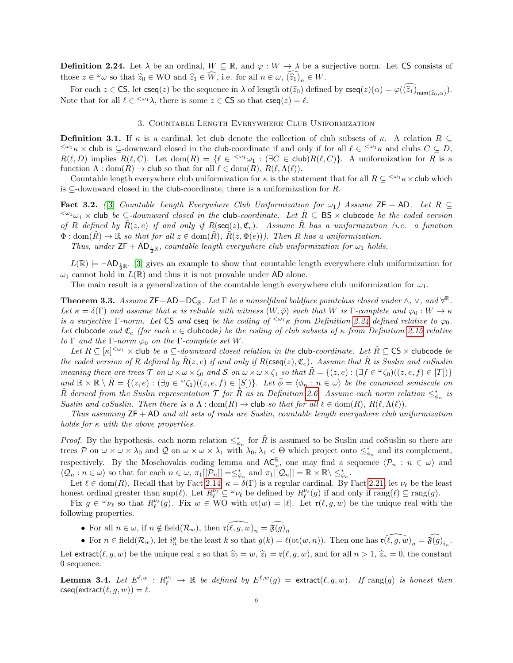<span id="page-8-0"></span>**Definition 2.24.** Let  $\lambda$  be an ordinal,  $W \subseteq \mathbb{R}$ , and  $\varphi : W \to \lambda$  be a surjective norm. Let CS consists of those  $z \in \omega$  so that  $\widehat{z}_0 \in \mathbb{W}$  and  $\widehat{z}_1 \in \widehat{W}$ , i.e. for all  $n \in \omega$ ,  $(\widehat{z}_1)_n \in W$ .

For each  $z \in \mathsf{CS}$ , let  $\mathsf{cseq}(z)$  be the sequence in  $\lambda$  of length  $\mathrm{ot}(\hat{z}_0)$  defined by  $\mathsf{cseq}(z)(\alpha) = \varphi((\hat{z}_1)_{\text{num}(\hat{z}_0,\alpha)})$ . Note that for all  $\ell \in \langle \omega_1 \lambda \rangle$ , there is some  $z \in \mathsf{CS}$  so that  $\mathsf{cseq}(z) = \ell$ .

# 3. Countable Length Everywhere Club Uniformization

**Definition 3.1.** If  $\kappa$  is a cardinal, let club denote the collection of club subsets of  $\kappa$ . A relation  $R \subseteq$  $\langle \omega_1 \kappa \times \text{club}$  is  $\subseteq$ -downward closed in the club-coordinate if and only if for all  $\ell \in \langle \omega_1 \kappa \times \text{club} \rangle$  and clubs  $C \subseteq D$ ,  $R(\ell, D)$  implies  $R(\ell, C)$ . Let  $dom(R) = {\ell \in \langle \omega_1 \omega_1 : (\exists C \in club) R(\ell, C) \rangle}$ . A uniformization for R is a function  $\Lambda : \text{dom}(R) \to \text{club so that for all } \ell \in \text{dom}(R), R(\ell, \Lambda(\ell)).$ 

Countable length everywhere club uniformization for  $\kappa$  is the statement that for all  $R \subseteq \langle \omega_1 \kappa \times \text{club}$  which is  $\subseteq$ -downward closed in the **club**-coordinate, there is a uniformization for R.

**Fact 3.2.** ([\[3\]](#page-11-1) Countable Length Everywhere Club Uniformization for  $\omega_1$ ) Assume ZF + AD. Let R  $\subseteq$  $\leq^{\omega_1}\omega_1 \times$  club be ⊆-downward closed in the club-coordinate. Let  $\tilde{R} \subseteq BS \times$  clubcode be the coded version of R defined by  $\tilde{R}(z, e)$  if and only if  $R(\text{seq}(z), \mathfrak{C}_e)$ . Assume  $\tilde{R}$  has a uniformization (i.e. a function  $\Phi: \text{dom}(\overline{R}) \to \mathbb{R}$  so that for all  $z \in \text{dom}(\overline{R}), R(z, \Phi(e))$ . Then R has a uniformization.

Thus, under  $ZF + AD_{\frac{1}{2}\mathbb{R}}$ , countable length everywhere club uniformization for  $\omega_1$  holds.

 $L(\mathbb{R}) \models \neg \mathsf{AD}_{\frac{1}{2}\mathbb{R}}$ . [\[3\]](#page-11-1) gives an example to show that countable length everywhere club uniformization for  $\omega_1$  cannot hold in  $L(\mathbb{R})$  and thus it is not provable under AD alone.

The main result is a generalization of the countable length everywhere club uniformization for  $\omega_1$ .

**Theorem 3.3.** Assume  $\mathsf{ZF}+\mathsf{AD}+\mathsf{DC}_\mathbb{R}$ . Let  $\Gamma$  be a nonselfdual boldface pointclass closed under  $\wedge$ ,  $\vee$ , and  $\forall^{\mathbb{R}}$ . Let  $\kappa = \delta(\Gamma)$  and assume that  $\kappa$  is reliable with witness  $(W, \bar{\varphi})$  such that W is  $\Gamma$ -complete and  $\varphi_0 : W \to \kappa$ is a surjective Γ-norm. Let CS and cseq be the coding of  $\leq^{\omega_1}\kappa$  from Definition [2.24](#page-8-0) defined relative to  $\varphi_0$ . Let clubcode and  $\mathfrak{C}_e$  (for each  $e \in$  clubcode) be the coding of club subsets of  $\kappa$  from Definition [2.15](#page-6-2) relative to  $\Gamma$  and the  $\Gamma$ -norm  $\varphi_0$  on the  $\Gamma$ -complete set W.

Let  $R \subseteq [\kappa]^{<\omega_1} \times$  club be a  $\subseteq$ -downward closed relation in the club-coordinate. Let  $\tilde{R} \subseteq \mathsf{CS} \times$  clubcode be the coded version of R defined by  $\tilde{R}(z, e)$  if and only if  $R(\csc(z), \mathfrak{C}_e)$ . Assume that  $\tilde{R}$  is Suslin and coSuslin meaning there are trees  $\mathcal T$  on  $\omega \times \omega \times \zeta_0$  and  $\mathcal S$  on  $\omega \times \omega \times \zeta_1$  so that  $\tilde R = \{(z, e) : (\exists f \in \omega \zeta_0)((z, e, f) \in [T])\}$ and  $\mathbb{R} \times \mathbb{R} \setminus \tilde{R} = \{(z, e) : (\exists g \in \mathcal{C}_1)(z, e, f) \in [S]\}.$  Let  $\overline{\phi} = \langle \phi_n : n \in \omega \rangle$  be the canonical semiscale on  $\tilde{R}$  derived from the Suslin representation  $\mathcal T$  for  $\tilde{R}$  as in Definition [2.6.](#page-3-2) Assume each norm relation  $\leq^*_{\phi_n}$  is Suslin and coSuslin. Then there is a  $\Lambda : dom(R) \to club$  so that for all  $\ell \in dom(R)$ ,  $R(\ell, \Lambda(\ell))$ .

Thus assuming  $ZF + AD$  and all sets of reals are Suslin, countable length everywhere club uniformization holds for  $\kappa$  with the above properties.

*Proof.* By the hypothesis, each norm relation  $\leq^*_{\phi_n}$  for  $\tilde{R}$  is assumed to be Suslin and coSuslin so there are trees P on  $\omega \times \omega \times \lambda_0$  and Q on  $\omega \times \omega \times \lambda_1$  with  $\lambda_0, \lambda_1 < \Theta$  which project onto  $\leq^*_{\phi_n}$  and its complement, respectively. By the Moschovakis coding lemma and  $AC_{\omega}^{\mathbb{R}}$ , one may find a sequence  $\langle \mathcal{P}_n : n \in \omega \rangle$  and  $\langle \mathcal{Q}_n : n \in \omega \rangle$  so that for each  $n \in \omega$ ,  $\pi_1[[\mathcal{P}_n]] = \leq^*_{\phi_n}$  and  $\pi_1[[\mathcal{Q}_n]] = \mathbb{R} \times \mathbb{R} \setminus \leq^*_{\phi_n}$ .

Let  $\ell \in \text{dom}(R)$ . Recall that by Fact [2.14,](#page-6-3)  $\kappa = \delta(\Gamma)$  is a regular cardinal. By Fact [2.21,](#page-7-0) let  $\nu_{\ell}$  be the least honest ordinal greater than  $\sup(\ell)$ . Let  $R_{\ell}^{\nu_{\ell}} \subseteq {}^{\omega}\nu_{\ell}$  be defined by  $R_{\ell}^{\nu_{\ell}}(g)$  if and only if  $\text{rang}(\ell) \subseteq \text{rang}(g)$ .

Fix  $g \in \omega_{\nu_\ell}$  so that  $R^{\nu_\ell}_\ell(g)$ . Fix  $w \in W$ O with  $\mathrm{ot}(w) = |\ell|$ . Let  $\mathfrak{r}(\ell, g, w)$  be the unique real with the following properties.

- For all  $n \in \omega$ , if  $n \notin \text{field}(\mathcal{R}_w)$ , then  $\mathfrak{r}(\widehat{\ell}, g, w)_n = \widehat{\mathfrak{F}(g)}_n$
- For  $n \in \text{field}(\mathcal{R}_w)$ , let  $i_n^g$  be the least k so that  $g(k) = \ell(\text{ot}(w, n))$ . Then one has  $\widehat{\mathfrak{r}(\ell, g, w)}_n = \widehat{\mathfrak{F}(g)}_{i_n}$ .

Let extract( $(\ell, g, w)$  be the unique real z so that  $\hat{z}_0 = w$ ,  $\hat{z}_1 = \mathfrak{r}(\ell, g, w)$ , and for all  $n > 1$ ,  $\hat{z}_n = \overline{0}$ , the constant 0 sequence.

<span id="page-8-1"></span>**Lemma 3.4.** Let  $E^{\ell,w}$  :  $R^{\nu_{\ell}}_{\ell} \to \mathbb{R}$  be defined by  $E^{\ell,w}(g) = \text{extract}(\ell, g, w)$ . If  $\text{rang}(g)$  is honest then  $\mathsf{cseq}(\mathsf{extract}(\ell, q, w)) = \ell.$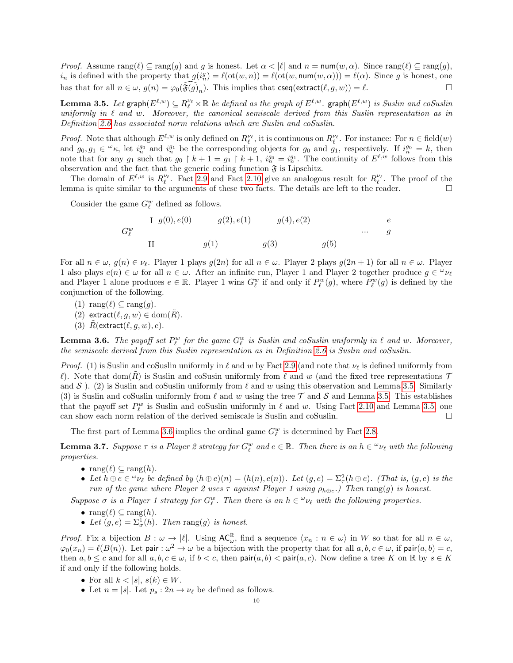*Proof.* Assume  $\text{rang}(\ell) \subseteq \text{rang}(q)$  and g is honest. Let  $\alpha < |\ell|$  and  $n = \text{num}(w, \alpha)$ . Since  $\text{rang}(\ell) \subseteq \text{rang}(q)$ ,  $i_n$  is defined with the property that  $g(i_n^g) = \ell(\text{ot}(w, n)) = \ell(\text{ot}(w, \text{num}(w, \alpha))) = \ell(\alpha)$ . Since g is honest, one has that for all  $n \in \omega$ ,  $g(n) = \varphi_0(\widehat{\mathfrak{F}(g)}_n)$ . This implies that  $\textsf{cseq}(\textsf{extract}(\ell, g, w)) = \ell$ .

<span id="page-9-0"></span>**Lemma 3.5.** Let  $\textsf{graph}(E^{\ell,w}) \subseteq R^{\nu_\ell}_\ell \times \mathbb{R}$  be defined as the graph of  $E^{\ell,w}$ .  $\textsf{graph}(E^{\ell,w})$  is Suslin and coSuslin uniformly in  $\ell$  and w. Moreover, the canonical semiscale derived from this Suslin representation as in Definition [2.6](#page-3-2) has associated norm relations which are Suslin and coSuslin.

*Proof.* Note that although  $E^{\ell,w}$  is only defined on  $R_{\ell}^{\nu_{\ell}}$ , it is continuous on  $R_{\ell}^{\nu_{\ell}}$ . For instance: For  $n \in \text{field}(w)$ and  $g_0, g_1 \in \mathcal{L}_{\kappa}$ , let  $i_n^{g_0}$  and  $i_n^{g_1}$  be the corresponding objects for  $g_0$  and  $g_1$ , respectively. If  $i_n^{g_0} = k$ , then note that for any  $g_1$  such that  $g_0 \restriction k+1 = g_1 \restriction k+1$ ,  $i_n^{g_0} = i_n^{g_1}$ . The continuity of  $E^{\ell,w}$  follows from this observation and the fact that the generic coding function  $\mathfrak F$  is Lipschitz.

The domain of  $E^{\ell,w}$  is  $R_{\ell}^{\nu_{\ell}}$ . Fact [2.9](#page-3-1) and Fact [2.10](#page-4-0) give an analogous result for  $R_{\ell}^{\nu_{\ell}}$ . The proof of the lemma is quite similar to the arguments of these two facts. The details are left to the reader.  $\Box$ 

Consider the game  $G_{\ell}^w$  defined as follows.

$$
G_{\ell}^{w} \t\t II \t\t g(0), e(0) \t\t g(2), e(1) \t\t g(4), e(2) \t\t \cdots \t\t g
$$
  
\nII \t\t g(1) \t\t g(3) \t\t g(5)

For all  $n \in \omega$ ,  $g(n) \in \nu_{\ell}$ . Player 1 plays  $g(2n)$  for all  $n \in \omega$ . Player 2 plays  $g(2n + 1)$  for all  $n \in \omega$ . Player 1 also plays  $e(n) \in \omega$  for all  $n \in \omega$ . After an infinite run, Player 1 and Player 2 together produce  $g \in \omega_{\ell}$ and Player 1 alone produces  $e \in \mathbb{R}$ . Player 1 wins  $G_{\ell}^{w}$  if and only if  $P_{\ell}^{w}(g)$ , where  $P_{\ell}^{w}(g)$  is defined by the conjunction of the following.

- (1) rang $(\ell) \subseteq \text{rang}(g)$ .
- (2) extract $(\ell, g, w) \in \text{dom}(R)$ .
- (3)  $\tilde{R}$ (extract $(\ell, g, w), e$ ).

<span id="page-9-1"></span>**Lemma 3.6.** The payoff set  $P_\ell^w$  for the game  $G_\ell^w$  is Suslin and coSuslin uniformly in  $\ell$  and w. Moreover, the semiscale derived from this Suslin representation as in Definition [2.6](#page-3-2) is Suslin and coSuslin.

*Proof.* (1) is Suslin and coSuslin uniformly in  $\ell$  and w by Fact [2.9](#page-3-1) (and note that  $\nu_{\ell}$  is defined uniformly from  $\ell$ ). Note that dom(R) is Suslin and coSusin uniformly from  $\ell$  and w (and the fixed tree representations  $\mathcal T$ and  $S$ ). (2) is Suslin and coSuslin uniformly from  $\ell$  and w using this observation and Lemma [3.5.](#page-9-0) Similarly (3) is Suslin and coSuslin uniformly from  $\ell$  and w using the tree T and S and Lemma [3.5.](#page-9-0) This establishes that the payoff set  $P_\ell^w$  is Suslin and coSuslin uniformly in  $\ell$  and w. Using Fact [2.10](#page-4-0) and Lemma [3.5,](#page-9-0) one can show each norm relation of the derived semiscale is Suslin and coSuslin.  $\square$ 

The first part of Lemma [3.6](#page-9-1) implies the ordinal game  $G_{\ell}^{w}$  is determined by Fact [2.8.](#page-3-0)

<span id="page-9-2"></span>**Lemma 3.7.** Suppose  $\tau$  is a Player 2 strategy for  $G_{\ell}^{w}$  and  $e \in \mathbb{R}$ . Then there is an  $h \in {}^{\omega} \nu_{\ell}$  with the following properties.

- $\text{rang}(\ell) \subseteq \text{rang}(h)$ .
- Let  $h \oplus e \in \omega_{\nu_\ell}$  be defined by  $(h \oplus e)(n) = \langle h(n), e(n) \rangle$ . Let  $(g, e) = \sum_{\tau}^2 (h \oplus e)$ . (That is,  $(g, e)$  is the run of the game where Player 2 uses  $\tau$  against Player 1 using  $\rho_{h\oplus e}$ .) Then rang(g) is honest.

Suppose  $\sigma$  is a Player 1 strategy for  $G_{\ell}^{w}$ . Then there is an  $h \in {}^{\omega} \nu_{\ell}$  with the following properties.

- rang $(\ell) \subset \text{rang}(h)$ .
- Let  $(g, e) = \sum_{\sigma}^1(h)$ . Then rang $(g)$  is honest.

*Proof.* Fix a bijection  $B: \omega \to |\ell|$ . Using  $AC_{\omega}^{\mathbb{R}}$ , find a sequence  $\langle x_n : n \in \omega \rangle$  in W so that for all  $n \in \omega$ ,  $\varphi_0(x_n) = \ell(B(n))$ . Let pair :  $\omega^2 \to \omega$  be a bijection with the property that for all  $a, b, c \in \omega$ , if pair $(a, b) = c$ , then  $a, b \leq c$  and for all  $a, b, c \in \omega$ , if  $b \leq c$ , then pair $(a, b) \leq$  pair $(a, c)$ . Now define a tree K on R by  $s \in K$ if and only if the following holds.

- For all  $k < |s|, s(k) \in W$ .
- Let  $n = |s|$ . Let  $p_s : 2n \to \nu_\ell$  be defined as follows.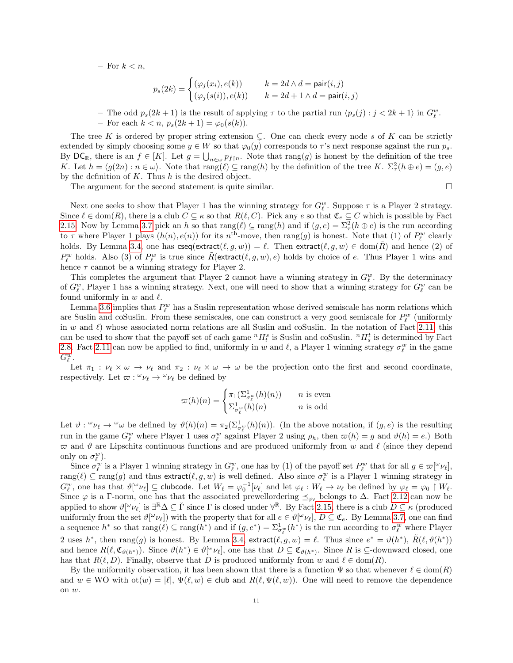– For  $k < n$ ,

$$
p_s(2k) = \begin{cases} (\varphi_j(x_i), e(k)) & k = 2d \land d = \text{pair}(i, j) \\ (\varphi_j(s(i)), e(k)) & k = 2d + 1 \land d = \text{pair}(i, j) \end{cases}
$$

- The odd  $p_s(2k+1)$  is the result of applying  $\tau$  to the partial run  $\langle p_s(j) : j < 2k+1 \rangle$  in  $G_{\ell}^w$ .

– For each  $k < n$ ,  $p_s(2k+1) = \varphi_0(s(k))$ .

The tree K is ordered by proper string extension  $\subsetneq$ . One can check every node s of K can be strictly extended by simply choosing some  $y \in W$  so that  $\varphi_0(y)$  corresponds to  $\tau$ 's next response against the run  $p_s$ . By  $DC_{\mathbb{R}}$ , there is an  $f \in [K]$ . Let  $g = \bigcup_{n \in \omega} p_{f \mid n}$ . Note that  $\text{rang}(g)$  is honest by the definition of the tree K. Let  $h = \langle g(2n) : n \in \omega \rangle$ . Note that  $\text{rang}(\ell) \subseteq \text{rang}(h)$  by the definition of the tree K.  $\Sigma^2_\tau(h \oplus e) = (g, e)$ by the definition of  $K$ . Thus  $h$  is the desired object.

The argument for the second statement is quite similar.

Next one seeks to show that Player 1 has the winning strategy for  $G_{\ell}^w$ . Suppose  $\tau$  is a Player 2 strategy. Since  $\ell \in \text{dom}(R)$ , there is a club  $C \subseteq \kappa$  so that  $R(\ell, C)$ . Pick any  $e$  so that  $\mathfrak{C}_e \subseteq C$  which is possible by Fact [2.15.](#page-6-2) Now by Lemma [3.7](#page-9-2) pick an h so that  $\text{rang}(\ell) \subseteq \text{rang}(h)$  and if  $(g, e) = \sum_{\tau}^2 (h \oplus e)$  is the run according to  $\tau$  where Player 1 plays  $(h(n), e(n))$  for its  $n^{\text{th}}$ -move, then  $\text{rang}(g)$  is honest. Note that (1) of  $P_{\ell}^{w}$  clearly holds. By Lemma [3.4,](#page-8-1) one has  $\textsf{cseq}(\textsf{extract}(\ell, g, w)) = \ell$ . Then  $\textsf{extract}(\ell, g, w) \in \text{dom}(\tilde{R})$  and hence (2) of  $P_\ell^w$  holds. Also (3) of  $P_\ell^w$  is true since  $\tilde{R}(\text{extract}(\ell, g, w), e)$  holds by choice of e. Thus Player 1 wins and hence  $\tau$  cannot be a winning strategy for Player 2.

This completes the argument that Player 2 cannot have a winning strategy in  $G_{\ell}^{w}$ . By the determinacy of  $G_{\ell}^w$ , Player 1 has a winning strategy. Next, one will need to show that a winning strategy for  $G_{\ell}^w$  can be found uniformly in  $w$  and  $\ell$ .

Lemma [3.6](#page-9-1) implies that  $P_{\ell}^{w}$  has a Suslin representation whose derived semiscale has norm relations which are Suslin and coSuslin. From these semiscales, one can construct a very good semiscale for  $P_\ell^w$  (uniformly in w and  $\ell$ ) whose associated norm relations are all Suslin and coSuslin. In the notation of Fact [2.11,](#page-5-0) this can be used to show that the payoff set of each game  ${}^nH_t^s$  is Suslin and coSuslin.  ${}^nH_s^t$  is determined by Fact [2.8.](#page-3-0) Fact [2.11](#page-5-0) can now be applied to find, uniformly in w and  $\ell$ , a Player 1 winning strategy  $\sigma_{\ell}^w$  in the game  $G_{\ell}^w$ .

Let  $\pi_1 : \nu_\ell \times \omega \to \nu_\ell$  and  $\pi_2 : \nu_\ell \times \omega \to \omega$  be the projection onto the first and second coordinate, respectively. Let  $\varpi : \omega_{\ell} \to \omega_{\ell}$  be defined by

$$
\varpi(h)(n) = \begin{cases} \pi_1(\Sigma_{\sigma_\ell^w}^1(h)(n)) & n \text{ is even} \\ \Sigma_{\sigma_\ell^w}^1(h)(n) & n \text{ is odd} \end{cases}
$$

Let  $\vartheta$  :  $\varphi \nu_{\ell} \to \varphi \omega$  be defined by  $\vartheta(h)(n) = \pi_2(\Sigma^1_{\sigma_{\ell}^w}(h)(n))$ . (In the above notation, if  $(g, e)$  is the resulting run in the game  $G_{\ell}^{w}$  where Player 1 uses  $\sigma_{\ell}^{w}$  against Player 2 using  $\rho_h$ , then  $\varpi(h) = g$  and  $\vartheta(h) = e$ .) Both  $\varpi$  and  $\vartheta$  are Lipschitz continuous functions and are produced uniformly from w and  $\ell$  (since they depend only on  $\sigma_{\ell}^w$ ).

Since  $\sigma_{\ell}^w$  is a Player 1 winning strategy in  $G_{\ell}^w$ , one has by (1) of the payoff set  $P_{\ell}^w$  that for all  $g \in \varpi[\omega_{\ell}],$  $\text{rang}(\ell) \subseteq \text{rang}(g)$  and thus extract $(\ell, g, w)$  is well defined. Also since  $\sigma_{\ell}^w$  is a Player 1 winning strategy in  $G_{\ell}^{w}$ , one has that  $\vartheta[\omega_{\ell}] \subseteq$  clubcode. Let  $W_{\ell} = \varphi_0^{-1}[\nu_{\ell}]$  and let  $\varphi_{\ell} : W_{\ell} \to \nu_{\ell}$  be defined by  $\varphi_{\ell} = \varphi_0 \upharpoonright W_{\ell}$ . Since  $\varphi$  is a Γ-norm, one has that the associated prewellordering  $\preceq_{\varphi_{\ell}}$  belongs to  $\Delta$ . Fact [2.12](#page-5-1) can now be applied to show  $\vartheta[{}^{\omega}\nu_{\ell}]$  is  $\exists {}^{\mathbb{R}}\Delta \subseteq \check{\Gamma}$  since  $\Gamma$  is closed under  $\forall {}^{\mathbb{R}}$ . By Fact [2.15,](#page-6-2) there is a club  $D \subseteq \kappa$  (produced uniformly from the set  $\vartheta[\omega \nu_\ell]$ ) with the property that for all  $e \in \vartheta[\omega \nu_\ell], D \subseteq \mathfrak{C}_e$ . By Lemma [3.7,](#page-9-2) one can find a sequence  $h^*$  so that  $\text{rang}(\ell) \subseteq \text{rang}(h^*)$  and if  $(g, e^*) = \sum_{\sigma_\ell^w}^1 (h^*)$  is the run according to  $\sigma_\ell^w$  where Player 2 uses  $h^*$ , then rang(g) is honest. By Lemma [3.4,](#page-8-1) extract $(\ell, g, w) = \ell$ . Thus since  $e^* = \vartheta(h^*)$ ,  $\tilde{R}(\ell, \vartheta(h^*))$ and hence  $R(\ell, \mathfrak{C}_{\vartheta(h^*)})$ . Since  $\vartheta(h^*) \in \vartheta[\varphi_{\ell}],$  one has that  $D \subseteq \mathfrak{C}_{\vartheta(h^*)}$ . Since R is  $\subseteq$ -downward closed, one has that  $R(\ell, D)$ . Finally, observe that D is produced uniformly from w and  $\ell \in \text{dom}(R)$ .

By the uniformity observation, it has been shown that there is a function  $\Psi$  so that whenever  $\ell \in \text{dom}(R)$ and  $w \in WO$  with  $\text{ot}(w) = |\ell|, \Psi(\ell, w) \in \text{club}$  and  $R(\ell, \Psi(\ell, w))$ . One will need to remove the dependence on w.